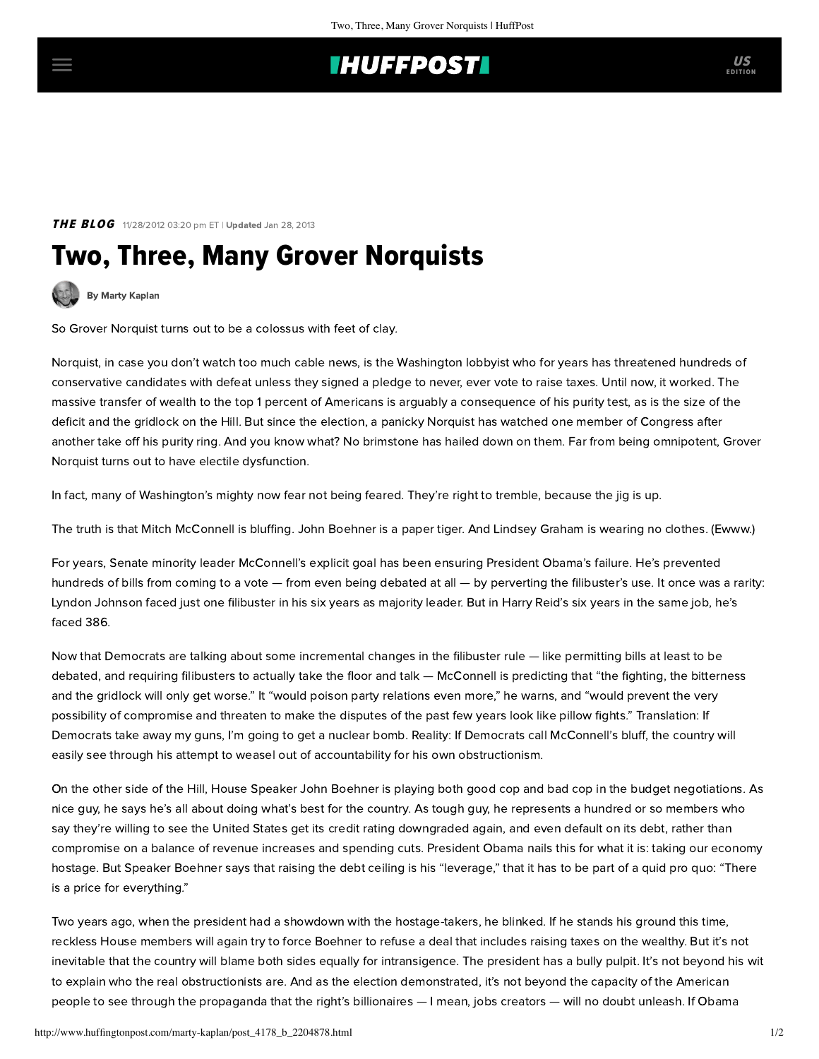## **THUFFPOST**

### **THE BLOG** 11/28/2012 03:20 pm ET | Updated Jan 28, 2013

# Two, Three, Many Grover Norquists



[By Marty Kaplan](http://www.huffingtonpost.com/author/marty-kaplan)

So Grover Norquist turns out to be a colossus with feet of clay.

Norquist, in case you don't watch too much cable news, is the Washington lobbyist who for years has threatened hundreds of conservative candidates with defeat unless they signed a pledge to never, ever vote to raise taxes. Until now, it worked. The massive transfer of wealth to the top 1 percent of Americans is arguably a consequence of his purity test, as is the size of the deficit and the gridlock on the Hill. [But since the election](http://www.nytimes.com/2012/11/27/opinion/bruni-is-grover-norquists-hold-on-congress-finally-over.html?_r=0), a panicky Norquist has watched one member of Congress after another take off his purity ring. And you know what? No brimstone has hailed down on them. Far from being omnipotent, Grover Norquist turns out to have electile dysfunction.

In fact, many of Washington's mighty now fear not being feared. They're right to tremble, because the jig is up.

The truth is that Mitch McConnell is bluffing. John Boehner is a paper tiger. And Lindsey Graham is wearing no clothes. (Ewww.)

For years, Senate minority leader McConnell's [explicit goal](http://thinkprogress.org/politics/2010/10/25/126242/mcconnell-obama-one-term/?mobile=nc) has been ensuring President Obama's failure. He's prevented hundreds of bills from coming to a vote — from even being debated at all — by perverting the filibuster's use. It once was a rarity: Lyndon Johnson faced just one filibuster in his six years as majority leader. But in Harry Reid's six years in the same job, he's faced 386.

Now that Democrats are [talking](http://truth-out.org/opinion/item/12603-harry-reid-fix-the-filibuster-now) about some incremental changes in the filibuster rule — like permitting bills at least to be debated, and requiring filibusters to actually take the floor and talk — McConnell [is predicting](http://www.huffingtonpost.com/2012/11/26/filibuster-reform-mitch-mcconnell_n_2193840.html) that "the fighting, the bitterness and the gridlock will only get worse." It "would poison party relations even more," he warns, and "would prevent the very possibility of compromise and threaten to make the disputes of the past few years look like pillow fights." Translation: If Democrats take away my guns, I'm going to get a nuclear bomb. Reality: If Democrats call McConnell's bluff, the country will easily see through his attempt to weasel out of accountability for his own obstructionism.

On the other side of the Hill, House Speaker John Boehner is playing both good cop and bad cop in the budget negotiations. As nice guy, he says he's all about doing what's best for the country. As tough guy, he represents a hundred or so members who say they're willing to see the United States get its credit rating downgraded again, and even default on its debt, rather than compromise on a balance of revenue increases and spending cuts. President Obama nails this for what it is: taking our economy hostage. But Speaker Boehner [says](http://www.dailykos.com/story/2012/11/28/1165270/--A-price-for-Everything-Boehner-s-GOP-blackmail-rears-its-ugly-head-again) that raising the debt ceiling is his "leverage," that it has to be part of a quid pro quo: "There is a price for everything."

Two years ago, when the president had a showdown with the hostage-takers, he blinked. If he stands his ground this time, reckless House members will again try to force Boehner to refuse a deal that includes raising taxes on the wealthy. But it's not inevitable that the country will blame both sides equally for intransigence. The president has a bully pulpit. It's not beyond his wit to explain who the real obstructionists are. And as the election demonstrated, it's not beyond the capacity of the American people to see through the propaganda that the right's billionaires — I mean, jobs creators — will no doubt unleash. If Obama